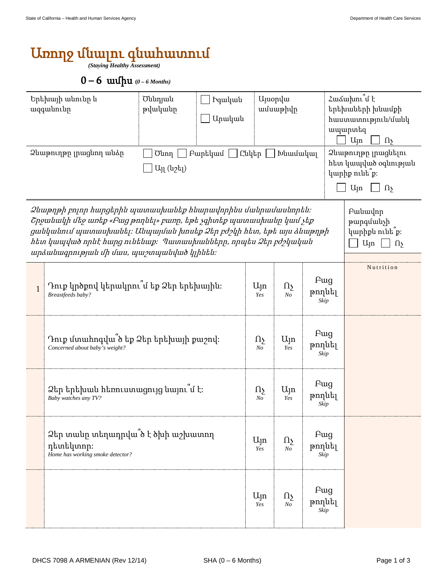## Առողջ մնալու գնահատում

*(Staying Healthy Assessment)* 

## 0 – 6 ամիս **(***0 – 6 Months)*

| Երեխայի անունը և<br>ազգանունը<br>Ձևաթուղթը լրացնող անձր                                                                                                                                                                                                                                                                                                                                                   |                                                                                    | Ծննդյան<br>թվականը<br>$U_{11}$ (u <sub>2t<sub>1</sub>)</sub> | hquluuu<br>Արական      |                              | <b>U</b> juopyu<br>ամսաթիվը<br>Ծնող   Բարեկամ   Ընկեր   Խնամակալ |                                   | Հաձախու՞մ է<br>երեխաների խնամքի<br>hաստատություն/մանկ<br>ապարտեզ<br>U <sub>Jn</sub><br>$\Omega$<br>Ձևաթուղթը լրացնելու<br>հետ կապված օգնության<br>կարիք ունե՞ք։<br>U <sub>Jn</sub><br>$\Omega$ |  |
|-----------------------------------------------------------------------------------------------------------------------------------------------------------------------------------------------------------------------------------------------------------------------------------------------------------------------------------------------------------------------------------------------------------|------------------------------------------------------------------------------------|--------------------------------------------------------------|------------------------|------------------------------|------------------------------------------------------------------|-----------------------------------|------------------------------------------------------------------------------------------------------------------------------------------------------------------------------------------------|--|
| Ձևաթղթի բոլոր հարցերին պատասխանեք հնարավորինս մանրամասնորեն։<br><b>Fuituulnp</b><br>Շրջանակի մեջ առեք «Բաց թողնել» բառը, եթե չգիտեք պատասխանը կամ չեք<br>թարգմանչի<br>ցանկանում պատասխանել։ Անպայման խոսեք Ձեր բժշկի հետ, եթե այս ձևաթղթի<br>կարիքն ունե՞ք։<br>hետ կապված որևէ hարց ունենաք։ Պատասխանները, որպես Ձեր բժշկական<br>U <sub>ln</sub><br>$\Omega$<br>արձանագրության մի մաս, պաշտպանված կլինեն։ |                                                                                    |                                                              |                        |                              |                                                                  |                                   |                                                                                                                                                                                                |  |
| $\mathbf{1}$                                                                                                                                                                                                                                                                                                                                                                                              | Դուք կրծքով կերակրու՞մ եք Ձեր երեխային։<br>Breastfeeds baby?                       |                                                              | U <sub>ln</sub><br>Yes | $\Omega_{\Sigma}$<br>$N_{O}$ | <b>F</b> ug<br>թողնել<br>Skip                                    |                                   | Nutrition                                                                                                                                                                                      |  |
|                                                                                                                                                                                                                                                                                                                                                                                                           | Դուք մտահոգվա ծ եք Ձեր երեխայի քաշով։<br>Concerned about baby's weight?            |                                                              |                        |                              | Ujn<br>Yes                                                       | Fwg<br>թողնել<br>Skip             |                                                                                                                                                                                                |  |
|                                                                                                                                                                                                                                                                                                                                                                                                           | Ձեր երեխան հեռուստացույց նայու՞մ է։<br>Baby watches any TV?                        |                                                              | $\Omega$<br>No         | $U_{\parallel}$ n<br>Yes     | <b>F</b> ug<br>թողնել<br>Skip                                    |                                   |                                                                                                                                                                                                |  |
|                                                                                                                                                                                                                                                                                                                                                                                                           | 2եր տանը տեղադրվա՞ծ է ծխի աշխատող<br>դետեկտոր։<br>Home has working smoke detector? |                                                              |                        | Ujn<br>Yes                   | $\Omega$<br>N <sub>O</sub>                                       | F <sub>uq</sub><br>թողնել<br>Skip |                                                                                                                                                                                                |  |
|                                                                                                                                                                                                                                                                                                                                                                                                           |                                                                                    |                                                              |                        | $U_{\parallel}$ n<br>Yes     | $\Omega_{\Sigma}$<br>N <sub>O</sub>                              | <b>F</b> ug<br>թողնել<br>Skip     |                                                                                                                                                                                                |  |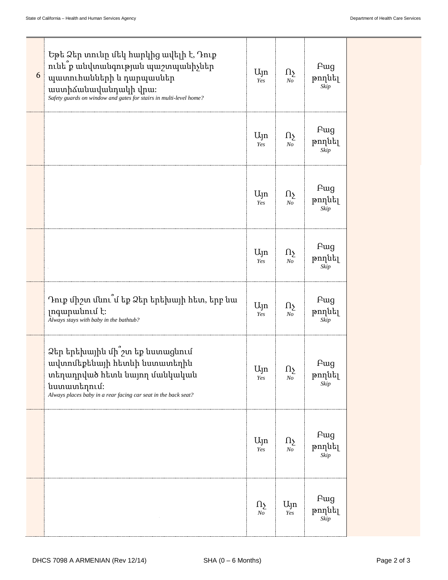| 6 | Եթե Ձեր տունը մեկ հարկից ավելի է, Դուք<br>ունե՞ք անվտանգության պաշտպանիչներ<br>պատուհանների և դարպասներ<br>աստիձանավանդակի վրա։<br>Safety guards on window and gates for stairs in multi-level home? | Ujn<br>Yes          | $\Omega_{\Sigma}$<br>N <sub>O</sub> | <b>F</b> ug<br>թողնել<br>Skip |  |
|---|------------------------------------------------------------------------------------------------------------------------------------------------------------------------------------------------------|---------------------|-------------------------------------|-------------------------------|--|
|   |                                                                                                                                                                                                      | Ujn<br>Yes          | Ωչ<br>No                            | <b>F</b> ug<br>թողնել<br>Skip |  |
|   |                                                                                                                                                                                                      | Ujn<br>Yes          | $\Omega_{\Sigma}$<br>N <sub>O</sub> | <b>F</b> ug<br>թողնել<br>Skip |  |
|   |                                                                                                                                                                                                      | Ujn<br>Yes          | $\Omega_{\Sigma}$<br>$N_{O}$        | <b>F</b> ug<br>թողնել<br>Skip |  |
|   | Դուք միշտ մնու՞մ եք Ձեր երեխայի հետ, երբ նա<br>լոգարանում է։<br>Always stays with baby in the bathtub?                                                                                               | Ujn<br>Yes          | $\Omega_{\Sigma}$<br>N <sub>O</sub> | Fwg<br>թողնել<br>Skip         |  |
|   | Ձեր երեխային մի՞շտ եք նստացնում<br>ավտոմեքենայի հետևի նստատեղին<br>տեղադրված հետև նայող մանկական<br>նստատեղում։<br>Always places baby in a rear facing car seat in the back seat?                    | Ujn $\Omega$<br>Yes | N <sub>O</sub>                      | Pug<br>թողնել<br>Skip         |  |
|   |                                                                                                                                                                                                      | Ujn<br>Yes          | $\Omega_{\Sigma}$<br>N <sub>O</sub> | <b>F</b> ug<br>թողնել<br>Skip |  |
|   |                                                                                                                                                                                                      | Ωу<br>$\sqrt{N}$    | Ujn<br>Yes                          | Fwg<br>թողնել<br>Skip         |  |